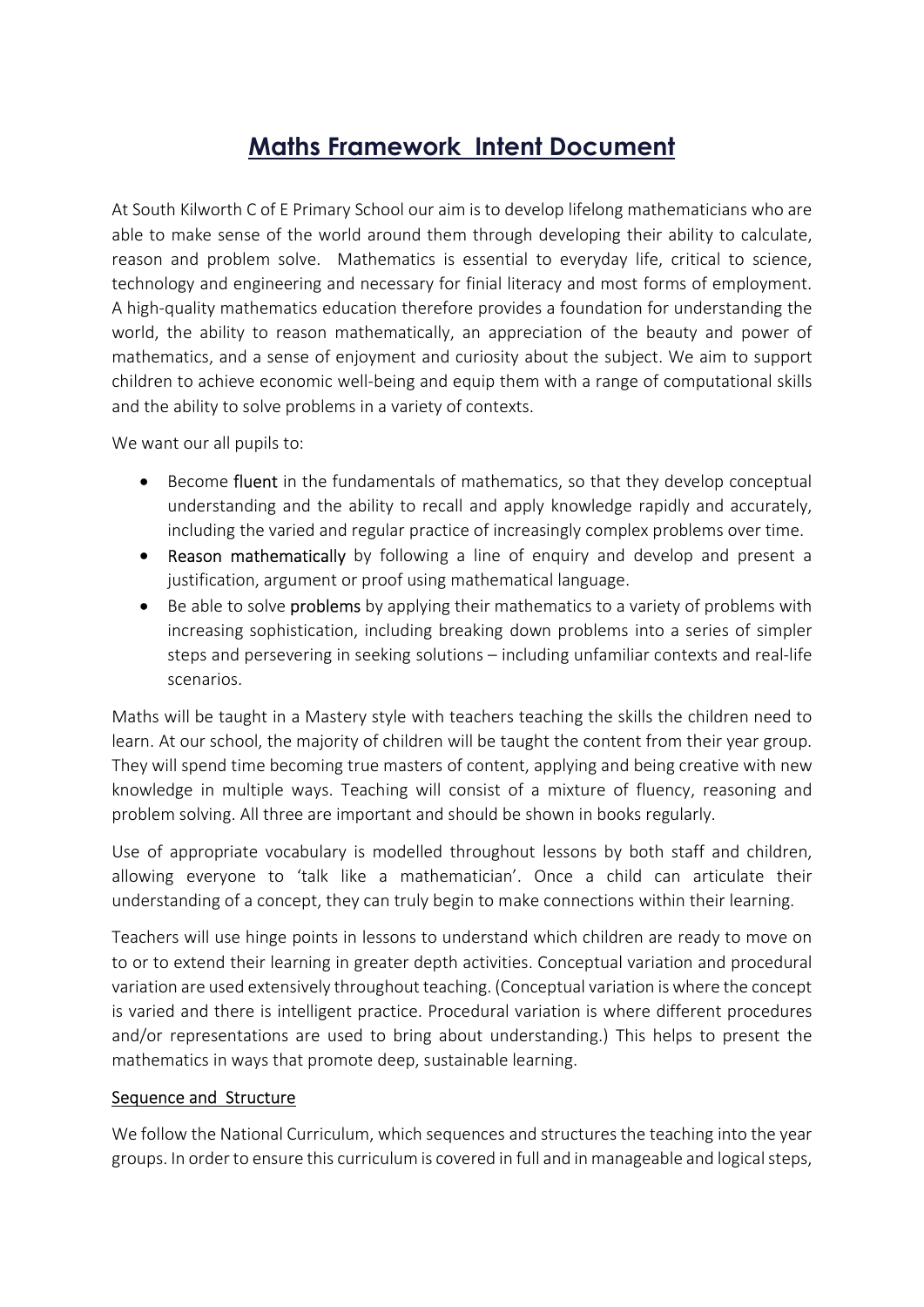## Maths Framework Intent Document

At South Kilworth C of E Primary School our aim is to develop lifelong mathematicians who are able to make sense of the world around them through developing their ability to calculate, reason and problem solve. Mathematics is essential to everyday life, critical to science, technology and engineering and necessary for finial literacy and most forms of employment. A high-quality mathematics education therefore provides a foundation for understanding the world, the ability to reason mathematically, an appreciation of the beauty and power of mathematics, and a sense of enjoyment and curiosity about the subject. We aim to support children to achieve economic well-being and equip them with a range of computational skills and the ability to solve problems in a variety of contexts.

We want our all pupils to:

- **Become fluent** in the fundamentals of mathematics, so that they develop conceptual understanding and the ability to recall and apply knowledge rapidly and accurately, including the varied and regular practice of increasingly complex problems over time.
- Reason mathematically by following a line of enquiry and develop and present a justification, argument or proof using mathematical language.
- Be able to solve problems by applying their mathematics to a variety of problems with increasing sophistication, including breaking down problems into a series of simpler steps and persevering in seeking solutions – including unfamiliar contexts and real-life scenarios.

Maths will be taught in a Mastery style with teachers teaching the skills the children need to learn. At our school, the majority of children will be taught the content from their year group. They will spend time becoming true masters of content, applying and being creative with new knowledge in multiple ways. Teaching will consist of a mixture of fluency, reasoning and problem solving. All three are important and should be shown in books regularly.

Use of appropriate vocabulary is modelled throughout lessons by both staff and children, allowing everyone to 'talk like a mathematician'. Once a child can articulate their understanding of a concept, they can truly begin to make connections within their learning.

Teachers will use hinge points in lessons to understand which children are ready to move on to or to extend their learning in greater depth activities. Conceptual variation and procedural variation are used extensively throughout teaching. (Conceptual variation is where the concept is varied and there is intelligent practice. Procedural variation is where different procedures and/or representations are used to bring about understanding.) This helps to present the mathematics in ways that promote deep, sustainable learning.

### Sequence and Structure

We follow the National Curriculum, which sequences and structures the teaching into the year groups. In order to ensure this curriculum is covered in full and in manageable and logical steps,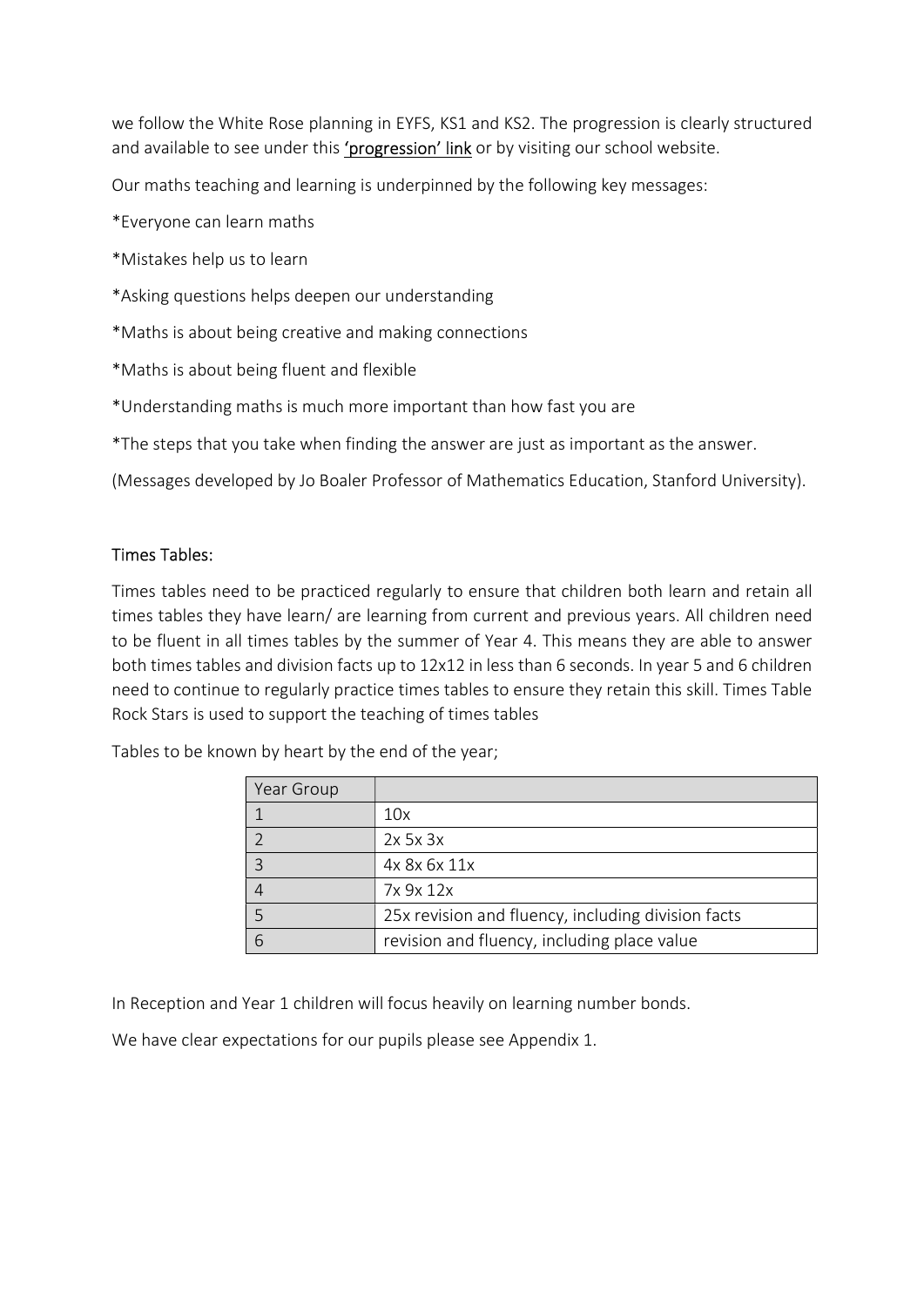we follow the White Rose planning in EYFS, KS1 and KS2. The progression is clearly structured and available to see under this 'progression' link or by visiting our school website.

Our maths teaching and learning is underpinned by the following key messages:

\*Everyone can learn maths

- \*Mistakes help us to learn
- \*Asking questions helps deepen our understanding
- \*Maths is about being creative and making connections
- \*Maths is about being fluent and flexible
- \*Understanding maths is much more important than how fast you are
- \*The steps that you take when finding the answer are just as important as the answer.

(Messages developed by Jo Boaler Professor of Mathematics Education, Stanford University).

#### Times Tables:

Times tables need to be practiced regularly to ensure that children both learn and retain all times tables they have learn/ are learning from current and previous years. All children need to be fluent in all times tables by the summer of Year 4. This means they are able to answer both times tables and division facts up to 12x12 in less than 6 seconds. In year 5 and 6 children need to continue to regularly practice times tables to ensure they retain this skill. Times Table Rock Stars is used to support the teaching of times tables

| Year Group |                                                    |
|------------|----------------------------------------------------|
|            | 10x                                                |
|            | $2x$ 5x $3x$                                       |
| ς          | 4x 8x 6x 11x                                       |
|            | 7x 9x 12x                                          |
|            | 25x revision and fluency, including division facts |
|            | revision and fluency, including place value        |

Tables to be known by heart by the end of the year;

In Reception and Year 1 children will focus heavily on learning number bonds.

We have clear expectations for our pupils please see Appendix 1.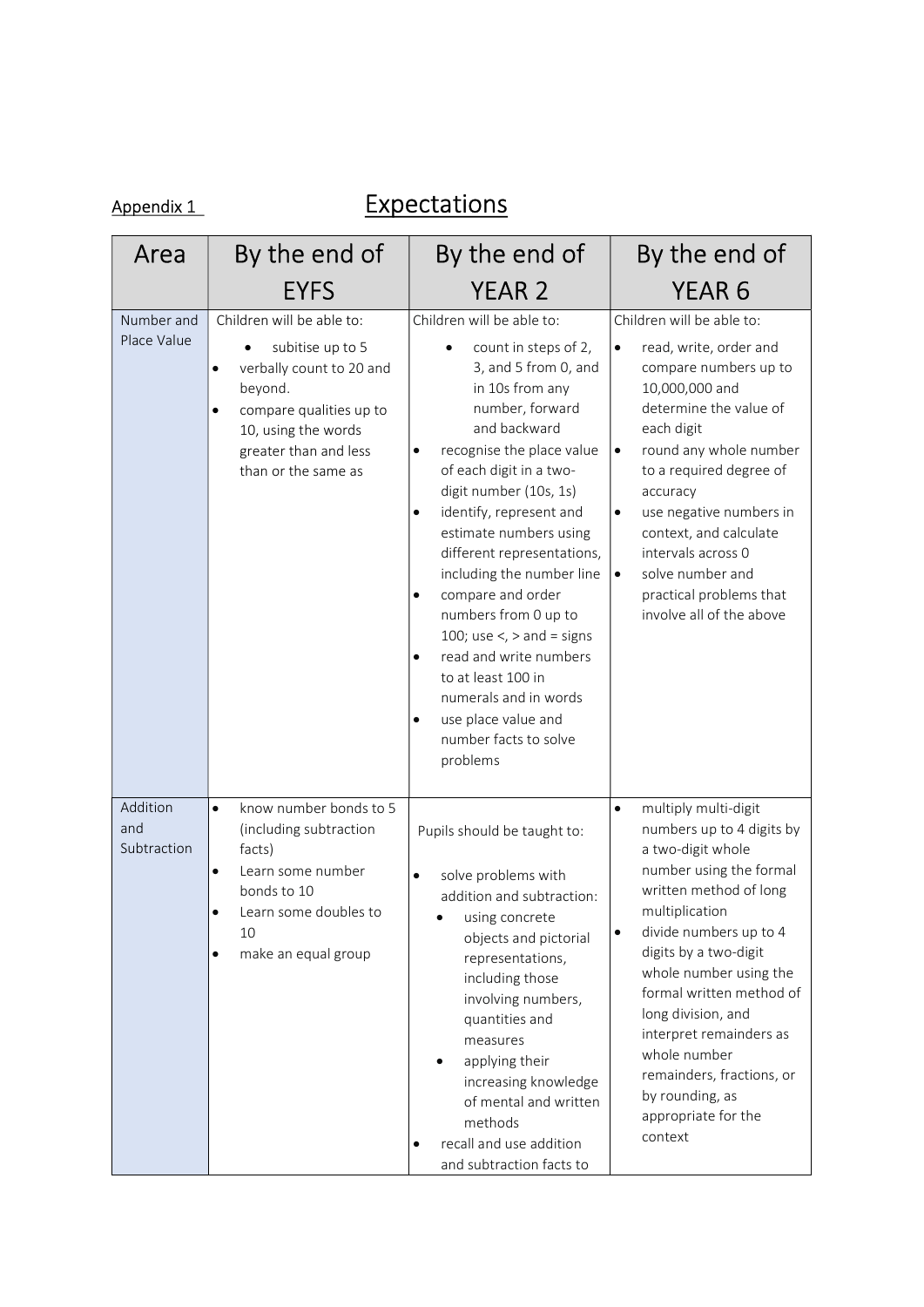# Appendix 1 Expectations

| Area                           | By the end of                                                                                                                                                                                                    | By the end of                                                                                                                                                                                                                                                                                                                                                                                                                                                                                                                                                                                                    | By the end of                                                                                                                                                                                                                                                                                                                                                                                                                       |
|--------------------------------|------------------------------------------------------------------------------------------------------------------------------------------------------------------------------------------------------------------|------------------------------------------------------------------------------------------------------------------------------------------------------------------------------------------------------------------------------------------------------------------------------------------------------------------------------------------------------------------------------------------------------------------------------------------------------------------------------------------------------------------------------------------------------------------------------------------------------------------|-------------------------------------------------------------------------------------------------------------------------------------------------------------------------------------------------------------------------------------------------------------------------------------------------------------------------------------------------------------------------------------------------------------------------------------|
|                                | <b>EYFS</b>                                                                                                                                                                                                      | <b>YEAR 2</b>                                                                                                                                                                                                                                                                                                                                                                                                                                                                                                                                                                                                    | YEAR <sub>6</sub>                                                                                                                                                                                                                                                                                                                                                                                                                   |
| Number and<br>Place Value      | Children will be able to:<br>subitise up to 5<br>verbally count to 20 and<br>$\bullet$<br>beyond.<br>compare qualities up to<br>$\bullet$<br>10, using the words<br>greater than and less<br>than or the same as | Children will be able to:<br>count in steps of 2,<br>3, and 5 from 0, and<br>in 10s from any<br>number, forward<br>and backward<br>recognise the place value<br>$\bullet$<br>of each digit in a two-<br>digit number (10s, 1s)<br>identify, represent and<br>$\bullet$<br>estimate numbers using<br>different representations,<br>including the number line<br>compare and order<br>$\bullet$<br>numbers from 0 up to<br>100; use $\lt$ , $>$ and = signs<br>read and write numbers<br>$\bullet$<br>to at least 100 in<br>numerals and in words<br>use place value and<br>٠<br>number facts to solve<br>problems | Children will be able to:<br>read, write, order and<br>$\bullet$<br>compare numbers up to<br>10,000,000 and<br>determine the value of<br>each digit<br>round any whole number<br>$\bullet$<br>to a required degree of<br>accuracy<br>use negative numbers in<br>$\bullet$<br>context, and calculate<br>intervals across 0<br>$\bullet$<br>solve number and<br>practical problems that<br>involve all of the above                   |
| Addition<br>and<br>Subtraction | know number bonds to 5<br>$\bullet$<br>(including subtraction<br>facts)<br>Learn some number<br>$\bullet$<br>bonds to 10<br>Learn some doubles to<br>٠<br>10<br>make an equal group<br>$\bullet$                 | Pupils should be taught to:<br>solve problems with<br>$\bullet$<br>addition and subtraction:<br>using concrete<br>objects and pictorial<br>representations,<br>including those<br>involving numbers,<br>quantities and<br>measures<br>applying their<br>increasing knowledge<br>of mental and written<br>methods<br>recall and use addition<br>$\bullet$<br>and subtraction facts to                                                                                                                                                                                                                             | multiply multi-digit<br>$\bullet$<br>numbers up to 4 digits by<br>a two-digit whole<br>number using the formal<br>written method of long<br>multiplication<br>divide numbers up to 4<br>$\bullet$<br>digits by a two-digit<br>whole number using the<br>formal written method of<br>long division, and<br>interpret remainders as<br>whole number<br>remainders, fractions, or<br>by rounding, as<br>appropriate for the<br>context |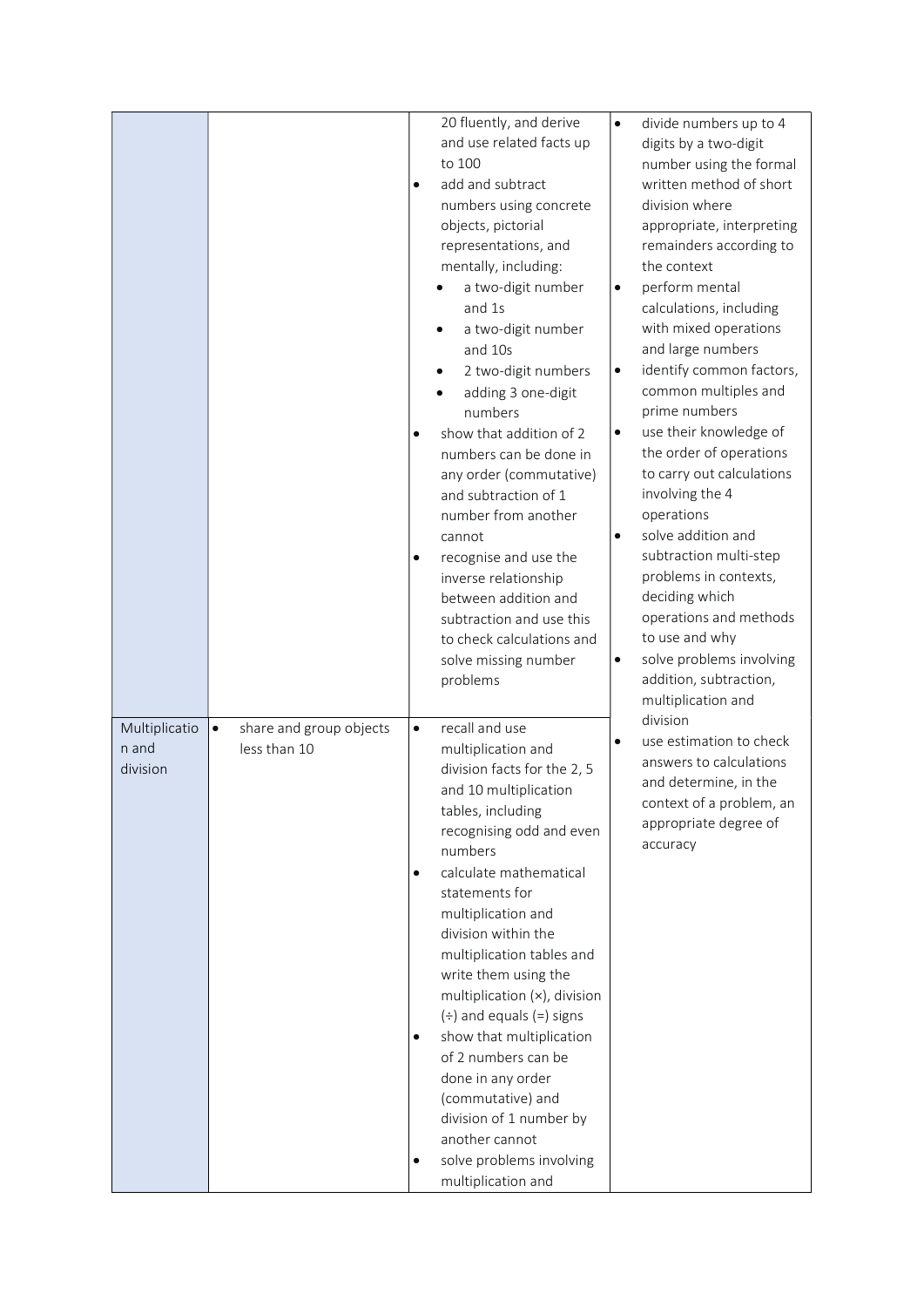|                                    |                                                      | 20 fluently, and derive<br>and use related facts up<br>to 100<br>add and subtract<br>$\bullet$<br>numbers using concrete<br>objects, pictorial<br>representations, and<br>mentally, including:<br>a two-digit number<br>and 1s<br>a two-digit number<br>and 10s<br>2 two-digit numbers<br>adding 3 one-digit<br>numbers<br>show that addition of 2<br>$\bullet$<br>numbers can be done in<br>any order (commutative)<br>and subtraction of 1<br>number from another<br>cannot<br>recognise and use the<br>٠<br>inverse relationship<br>between addition and<br>subtraction and use this<br>to check calculations and<br>solve missing number<br>problems | divide numbers up to 4<br>$\bullet$<br>digits by a two-digit<br>number using the formal<br>written method of short<br>division where<br>appropriate, interpreting<br>remainders according to<br>the context<br>perform mental<br>$\bullet$<br>calculations, including<br>with mixed operations<br>and large numbers<br>identify common factors,<br>$\bullet$<br>common multiples and<br>prime numbers<br>use their knowledge of<br>$\bullet$<br>the order of operations<br>to carry out calculations<br>involving the 4<br>operations<br>solve addition and<br>$\bullet$<br>subtraction multi-step<br>problems in contexts,<br>deciding which<br>operations and methods<br>to use and why<br>solve problems involving<br>$\bullet$<br>addition, subtraction,<br>multiplication and |
|------------------------------------|------------------------------------------------------|----------------------------------------------------------------------------------------------------------------------------------------------------------------------------------------------------------------------------------------------------------------------------------------------------------------------------------------------------------------------------------------------------------------------------------------------------------------------------------------------------------------------------------------------------------------------------------------------------------------------------------------------------------|------------------------------------------------------------------------------------------------------------------------------------------------------------------------------------------------------------------------------------------------------------------------------------------------------------------------------------------------------------------------------------------------------------------------------------------------------------------------------------------------------------------------------------------------------------------------------------------------------------------------------------------------------------------------------------------------------------------------------------------------------------------------------------|
| Multiplicatio<br>n and<br>division | $\bullet$<br>share and group objects<br>less than 10 | recall and use<br>$\bullet$<br>multiplication and<br>division facts for the 2, 5<br>and 10 multiplication<br>tables, including<br>recognising odd and even<br>numbers<br>calculate mathematical<br>$\bullet$<br>statements for<br>multiplication and<br>division within the<br>multiplication tables and<br>write them using the<br>multiplication (x), division<br>$(\div)$ and equals (=) signs<br>show that multiplication<br>$\bullet$<br>of 2 numbers can be<br>done in any order<br>(commutative) and<br>division of 1 number by<br>another cannot<br>solve problems involving<br>$\bullet$<br>multiplication and                                  | division<br>use estimation to check<br>$\bullet$<br>answers to calculations<br>and determine, in the<br>context of a problem, an<br>appropriate degree of<br>accuracy                                                                                                                                                                                                                                                                                                                                                                                                                                                                                                                                                                                                              |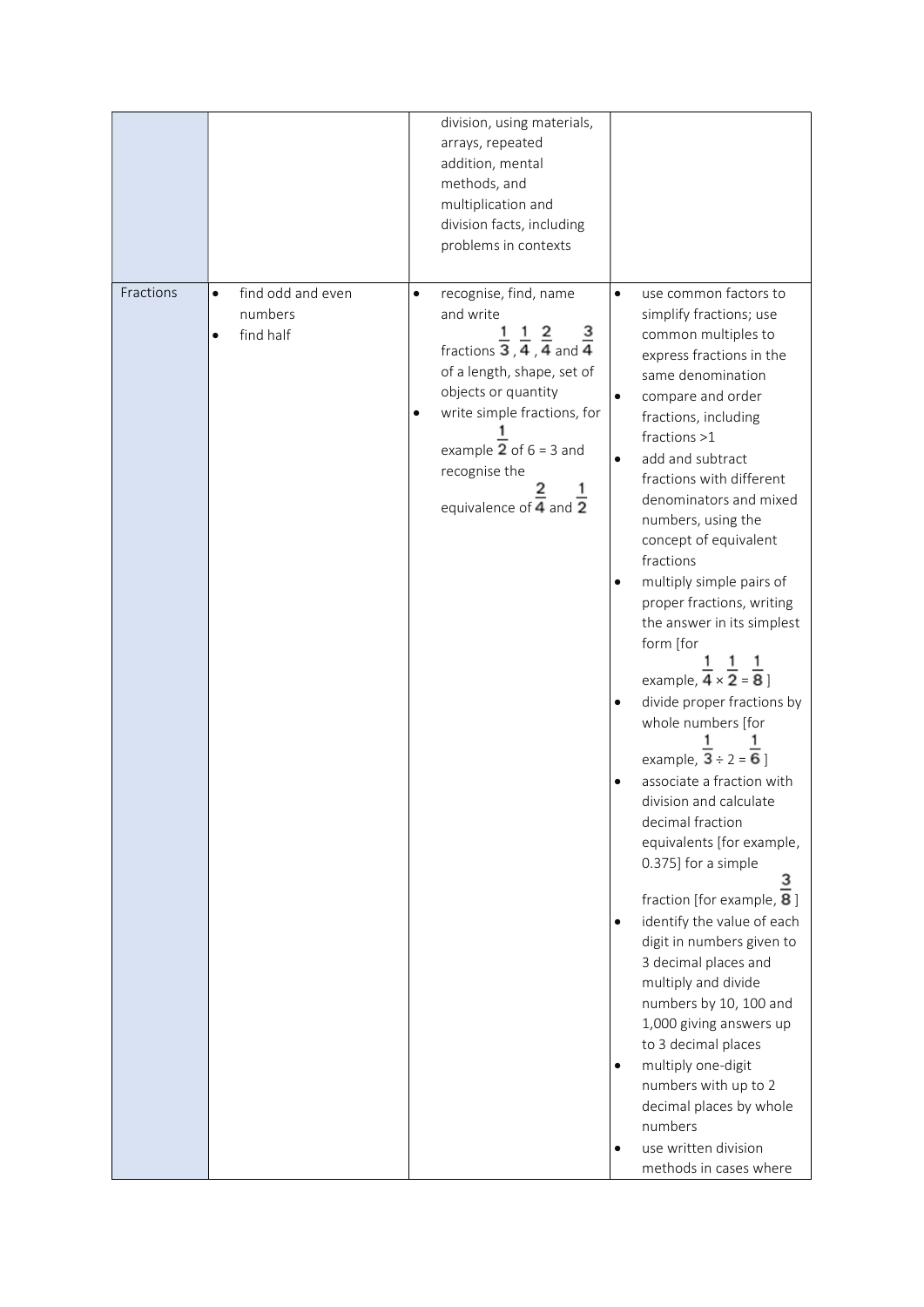|           |                                                                     | division, using materials,<br>arrays, repeated<br>addition, mental<br>methods, and<br>multiplication and<br>division facts, including<br>problems in contexts                                                                                                                                                  |                                                                                                                                                                                                                                                                                                                                                                                                                                                                                                                                                                                                                                                                                                                                                                                                                                                                                                                                                                                                                                                                                                                                                                         |
|-----------|---------------------------------------------------------------------|----------------------------------------------------------------------------------------------------------------------------------------------------------------------------------------------------------------------------------------------------------------------------------------------------------------|-------------------------------------------------------------------------------------------------------------------------------------------------------------------------------------------------------------------------------------------------------------------------------------------------------------------------------------------------------------------------------------------------------------------------------------------------------------------------------------------------------------------------------------------------------------------------------------------------------------------------------------------------------------------------------------------------------------------------------------------------------------------------------------------------------------------------------------------------------------------------------------------------------------------------------------------------------------------------------------------------------------------------------------------------------------------------------------------------------------------------------------------------------------------------|
| Fractions | find odd and even<br>$\bullet$<br>numbers<br>find half<br>$\bullet$ | $\bullet$<br>recognise, find, name<br>and write<br>$\frac{1}{3}, \frac{1}{4}, \frac{2}{4}$ and $\frac{3}{4}$<br>of a length, shape, set of<br>objects or quantity<br>write simple fractions, for<br>$\bullet$<br>example $2$ of $6 = 3$ and<br>recognise the<br>equivalence of $\frac{2}{4}$ and $\frac{1}{2}$ | $\bullet$<br>use common factors to<br>simplify fractions; use<br>common multiples to<br>express fractions in the<br>same denomination<br>compare and order<br>$\bullet$<br>fractions, including<br>fractions >1<br>add and subtract<br>$\bullet$<br>fractions with different<br>denominators and mixed<br>numbers, using the<br>concept of equivalent<br>fractions<br>multiply simple pairs of<br>proper fractions, writing<br>the answer in its simplest<br>form [for<br>example, $\frac{1}{4} \times \frac{1}{2} = \frac{1}{8}$<br>divide proper fractions by<br>whole numbers [for<br>example, $\overline{3} \div 2 = \overline{6}$ ]<br>associate a fraction with<br>division and calculate<br>decimal fraction<br>equivalents [for example,<br>0.375] for a simple<br>fraction [for example, 8]<br>identify the value of each<br>$\bullet$<br>digit in numbers given to<br>3 decimal places and<br>multiply and divide<br>numbers by 10, 100 and<br>1,000 giving answers up<br>to 3 decimal places<br>multiply one-digit<br>$\bullet$<br>numbers with up to 2<br>decimal places by whole<br>numbers<br>use written division<br>$\bullet$<br>methods in cases where |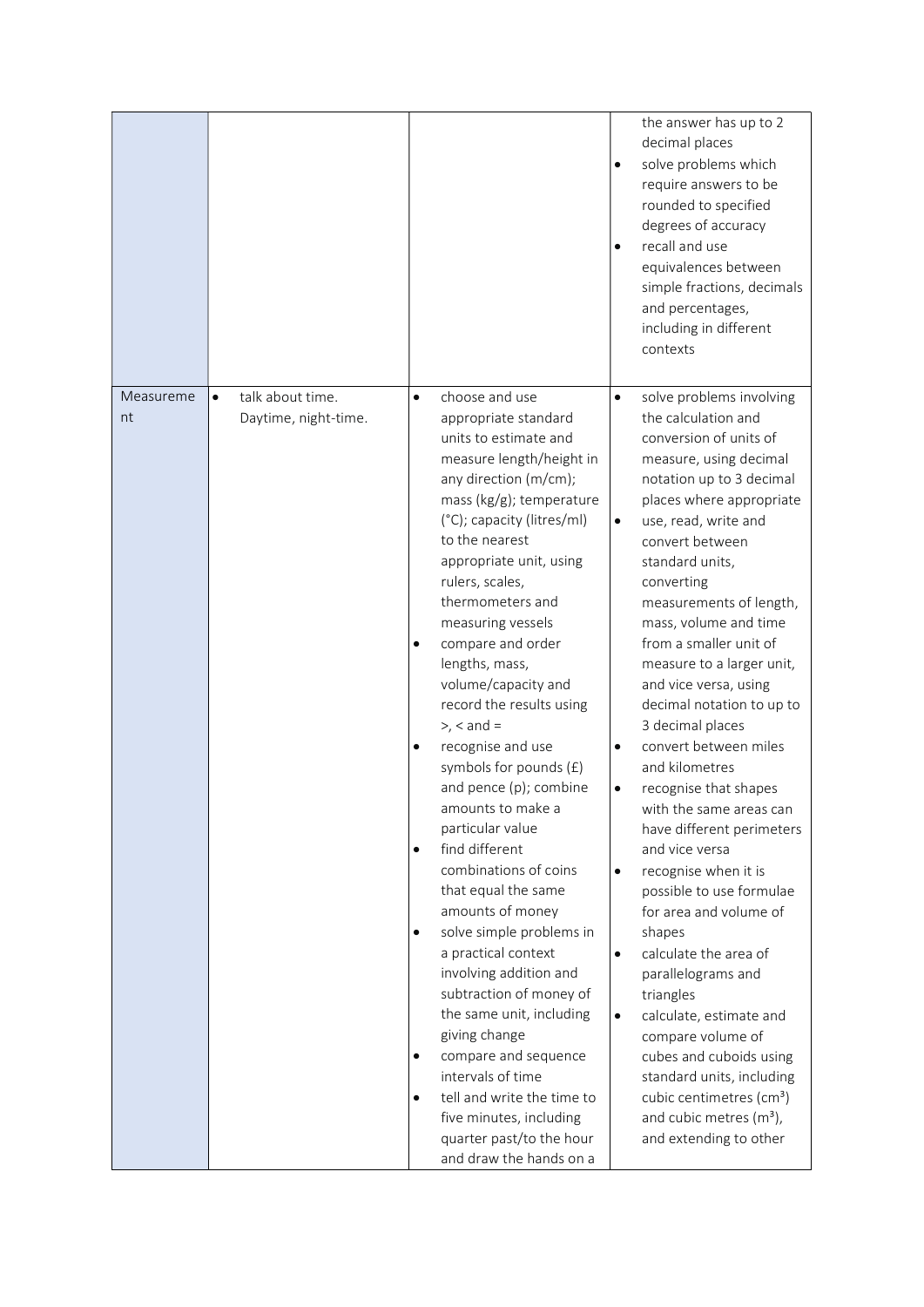|                 |                                                       |                                                                                                                                                                                                                                                                                                                                                                                                                                                                                                                                                                                                                                                                                                                                                                                                                                                                                                                                                                                                                           | the answer has up to 2<br>decimal places<br>solve problems which<br>require answers to be<br>rounded to specified<br>degrees of accuracy<br>recall and use<br>$\bullet$<br>equivalences between<br>simple fractions, decimals<br>and percentages,<br>including in different<br>contexts                                                                                                                                                                                                                                                                                                                                                                                                                                                                                                                                                                                                                                                                                                                                                    |
|-----------------|-------------------------------------------------------|---------------------------------------------------------------------------------------------------------------------------------------------------------------------------------------------------------------------------------------------------------------------------------------------------------------------------------------------------------------------------------------------------------------------------------------------------------------------------------------------------------------------------------------------------------------------------------------------------------------------------------------------------------------------------------------------------------------------------------------------------------------------------------------------------------------------------------------------------------------------------------------------------------------------------------------------------------------------------------------------------------------------------|--------------------------------------------------------------------------------------------------------------------------------------------------------------------------------------------------------------------------------------------------------------------------------------------------------------------------------------------------------------------------------------------------------------------------------------------------------------------------------------------------------------------------------------------------------------------------------------------------------------------------------------------------------------------------------------------------------------------------------------------------------------------------------------------------------------------------------------------------------------------------------------------------------------------------------------------------------------------------------------------------------------------------------------------|
| Measureme<br>nt | talk about time.<br>$\bullet$<br>Daytime, night-time. | choose and use<br>$\bullet$<br>appropriate standard<br>units to estimate and<br>measure length/height in<br>any direction (m/cm);<br>mass (kg/g); temperature<br>(°C); capacity (litres/ml)<br>to the nearest<br>appropriate unit, using<br>rulers, scales,<br>thermometers and<br>measuring vessels<br>compare and order<br>$\bullet$<br>lengths, mass,<br>volume/capacity and<br>record the results using<br>$>$ , < and =<br>recognise and use<br>$\bullet$<br>symbols for pounds $(E)$<br>and pence (p); combine<br>amounts to make a<br>particular value<br>find different<br>$\bullet$<br>combinations of coins<br>that equal the same<br>amounts of money<br>solve simple problems in<br>$\bullet$<br>a practical context<br>involving addition and<br>subtraction of money of<br>the same unit, including<br>giving change<br>compare and sequence<br>$\bullet$<br>intervals of time<br>tell and write the time to<br>$\bullet$<br>five minutes, including<br>quarter past/to the hour<br>and draw the hands on a | solve problems involving<br>$\bullet$<br>the calculation and<br>conversion of units of<br>measure, using decimal<br>notation up to 3 decimal<br>places where appropriate<br>use, read, write and<br>$\bullet$<br>convert between<br>standard units,<br>converting<br>measurements of length,<br>mass, volume and time<br>from a smaller unit of<br>measure to a larger unit,<br>and vice versa, using<br>decimal notation to up to<br>3 decimal places<br>convert between miles<br>$\bullet$<br>and kilometres<br>recognise that shapes<br>$\bullet$<br>with the same areas can<br>have different perimeters<br>and vice versa<br>recognise when it is<br>$\bullet$<br>possible to use formulae<br>for area and volume of<br>shapes<br>calculate the area of<br>$\bullet$<br>parallelograms and<br>triangles<br>calculate, estimate and<br>$\bullet$<br>compare volume of<br>cubes and cuboids using<br>standard units, including<br>cubic centimetres (cm <sup>3</sup> )<br>and cubic metres (m <sup>3</sup> ),<br>and extending to other |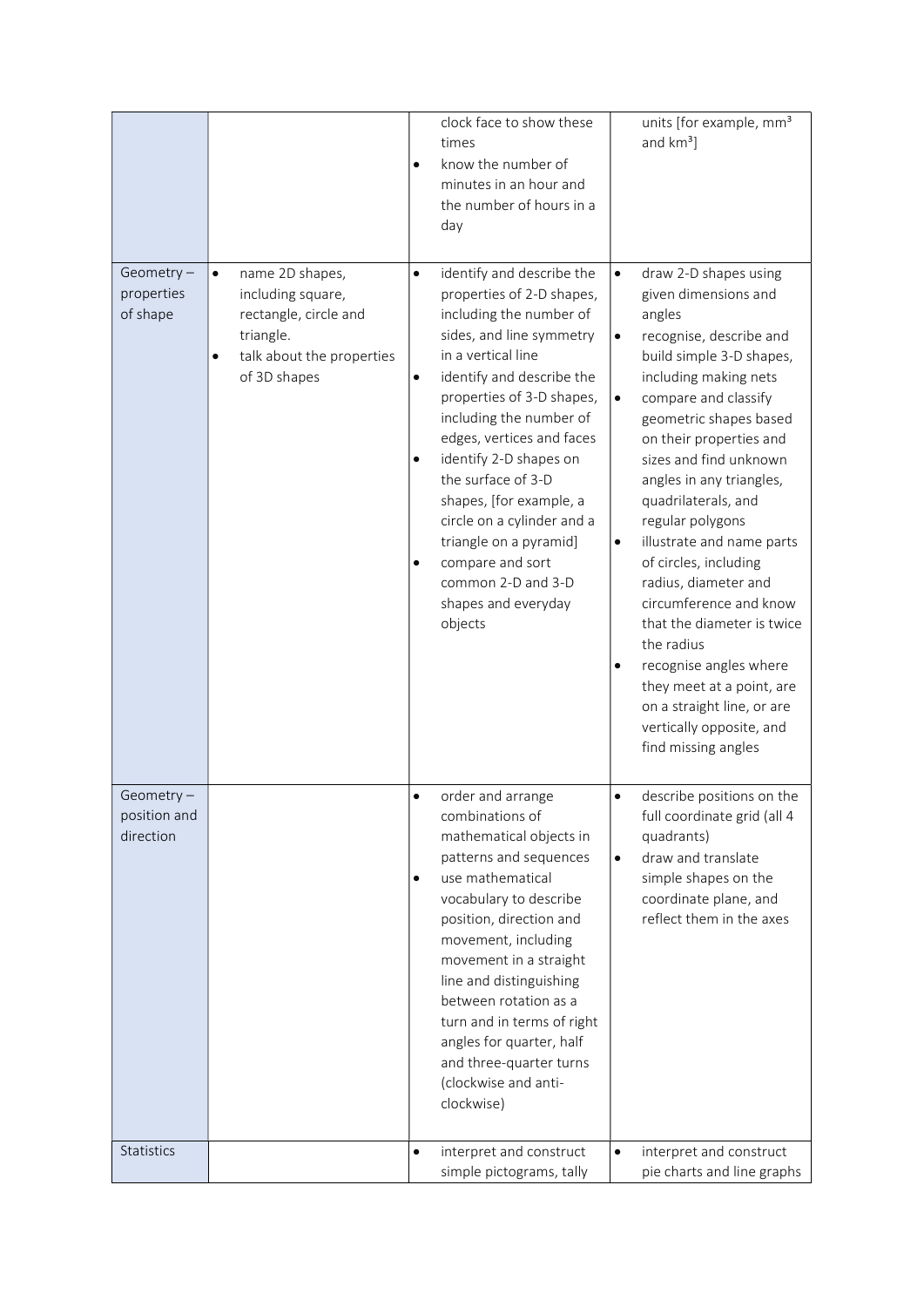|                                        |                                                                                                                                                   | clock face to show these<br>times<br>know the number of<br>$\bullet$<br>minutes in an hour and<br>the number of hours in a<br>day                                                                                                                                                                                                                                                                                                                                                                                |                                                       | units [for example, mm <sup>3</sup><br>and $km3$ ]                                                                                                                                                                                                                                                                                                                                                                                                                                                                                                                                                                |
|----------------------------------------|---------------------------------------------------------------------------------------------------------------------------------------------------|------------------------------------------------------------------------------------------------------------------------------------------------------------------------------------------------------------------------------------------------------------------------------------------------------------------------------------------------------------------------------------------------------------------------------------------------------------------------------------------------------------------|-------------------------------------------------------|-------------------------------------------------------------------------------------------------------------------------------------------------------------------------------------------------------------------------------------------------------------------------------------------------------------------------------------------------------------------------------------------------------------------------------------------------------------------------------------------------------------------------------------------------------------------------------------------------------------------|
| Geometry-<br>properties<br>of shape    | name 2D shapes,<br>$\bullet$<br>including square,<br>rectangle, circle and<br>triangle.<br>talk about the properties<br>$\bullet$<br>of 3D shapes | identify and describe the<br>$\bullet$<br>properties of 2-D shapes,<br>including the number of<br>sides, and line symmetry<br>in a vertical line<br>identify and describe the<br>٠<br>properties of 3-D shapes,<br>including the number of<br>edges, vertices and faces<br>identify 2-D shapes on<br>$\bullet$<br>the surface of 3-D<br>shapes, [for example, a<br>circle on a cylinder and a<br>triangle on a pyramid]<br>compare and sort<br>$\bullet$<br>common 2-D and 3-D<br>shapes and everyday<br>objects | $\bullet$<br>$\bullet$<br>$\bullet$<br>$\bullet$<br>٠ | draw 2-D shapes using<br>given dimensions and<br>angles<br>recognise, describe and<br>build simple 3-D shapes,<br>including making nets<br>compare and classify<br>geometric shapes based<br>on their properties and<br>sizes and find unknown<br>angles in any triangles,<br>quadrilaterals, and<br>regular polygons<br>illustrate and name parts<br>of circles, including<br>radius, diameter and<br>circumference and know<br>that the diameter is twice<br>the radius<br>recognise angles where<br>they meet at a point, are<br>on a straight line, or are<br>vertically opposite, and<br>find missing angles |
| Geometry-<br>position and<br>direction |                                                                                                                                                   | order and arrange<br>$\bullet$<br>combinations of<br>mathematical objects in<br>patterns and sequences<br>use mathematical<br>$\bullet$<br>vocabulary to describe<br>position, direction and<br>movement, including<br>movement in a straight<br>line and distinguishing<br>between rotation as a<br>turn and in terms of right<br>angles for quarter, half<br>and three-quarter turns<br>(clockwise and anti-<br>clockwise)                                                                                     | $\bullet$<br>$\bullet$                                | describe positions on the<br>full coordinate grid (all 4<br>quadrants)<br>draw and translate<br>simple shapes on the<br>coordinate plane, and<br>reflect them in the axes                                                                                                                                                                                                                                                                                                                                                                                                                                         |
| Statistics                             |                                                                                                                                                   | interpret and construct<br>$\bullet$<br>simple pictograms, tally                                                                                                                                                                                                                                                                                                                                                                                                                                                 | $\bullet$                                             | interpret and construct<br>pie charts and line graphs                                                                                                                                                                                                                                                                                                                                                                                                                                                                                                                                                             |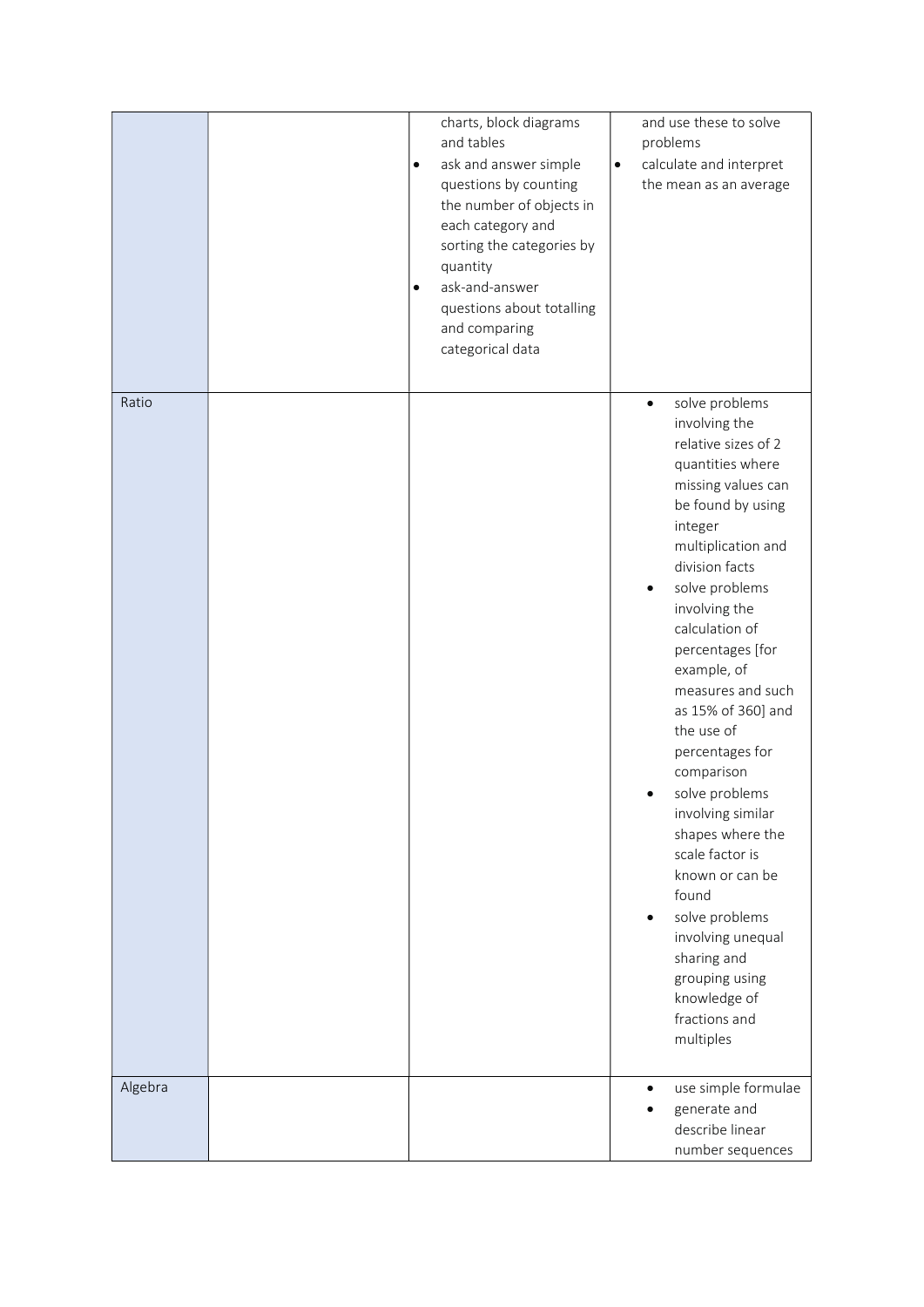|         | charts, block diagrams<br>and tables<br>ask and answer simple<br>$\bullet$<br>questions by counting<br>the number of objects in<br>each category and<br>sorting the categories by<br>quantity<br>ask-and-answer<br>$\bullet$<br>questions about totalling<br>and comparing<br>categorical data | $\bullet$ | and use these to solve<br>problems<br>calculate and interpret<br>the mean as an average                                                                                                                                                                                                                                                                                                                                                                                                                                                                                                                                           |
|---------|------------------------------------------------------------------------------------------------------------------------------------------------------------------------------------------------------------------------------------------------------------------------------------------------|-----------|-----------------------------------------------------------------------------------------------------------------------------------------------------------------------------------------------------------------------------------------------------------------------------------------------------------------------------------------------------------------------------------------------------------------------------------------------------------------------------------------------------------------------------------------------------------------------------------------------------------------------------------|
| Ratio   |                                                                                                                                                                                                                                                                                                |           | solve problems<br>$\bullet$<br>involving the<br>relative sizes of 2<br>quantities where<br>missing values can<br>be found by using<br>integer<br>multiplication and<br>division facts<br>solve problems<br>$\bullet$<br>involving the<br>calculation of<br>percentages [for<br>example, of<br>measures and such<br>as 15% of 360] and<br>the use of<br>percentages for<br>comparison<br>solve problems<br>involving similar<br>shapes where the<br>scale factor is<br>known or can be<br>found<br>solve problems<br>$\bullet$<br>involving unequal<br>sharing and<br>grouping using<br>knowledge of<br>fractions and<br>multiples |
| Algebra |                                                                                                                                                                                                                                                                                                |           | use simple formulae<br>$\bullet$<br>generate and<br>describe linear<br>number sequences                                                                                                                                                                                                                                                                                                                                                                                                                                                                                                                                           |